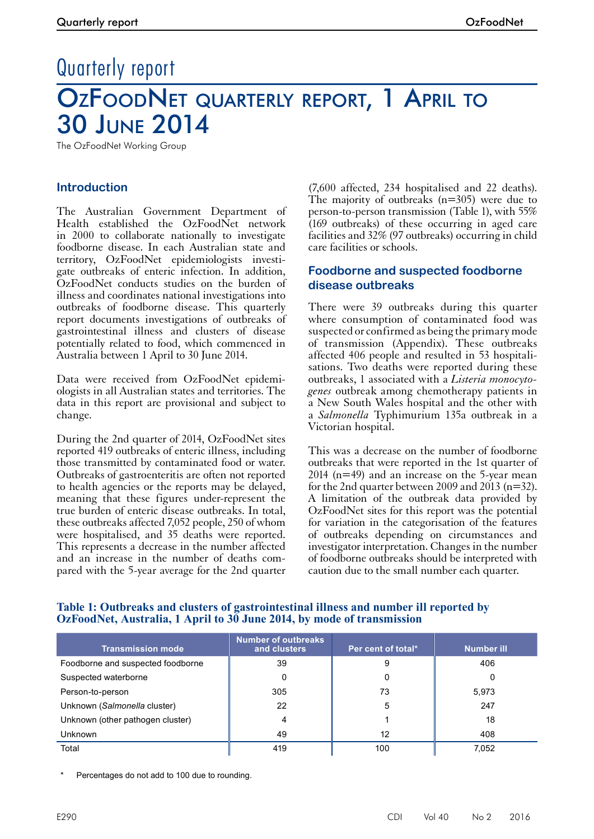# Quarterly report OZFOODNET QUARTERLY REPORT, 1 APRIL TO 30 June 2014

The OzFoodNet Working Group

## **Introduction**

The Australian Government Department of Health established the OzFoodNet network in 2000 to collaborate nationally to investigate foodborne disease. In each Australian state and territory, OzFoodNet epidemiologists investigate outbreaks of enteric infection. In addition, OzFoodNet conducts studies on the burden of illness and coordinates national investigations into outbreaks of foodborne disease. This quarterly report documents investigations of outbreaks of gastrointestinal illness and clusters of disease potentially related to food, which commenced in Australia between 1 April to 30 June 2014.

Data were received from OzFoodNet epidemiologists in all Australian states and territories. The data in this report are provisional and subject to change.

During the 2nd quarter of 2014, OzFoodNet sites reported 419 outbreaks of enteric illness, including those transmitted by contaminated food or water. Outbreaks of gastroenteritis are often not reported to health agencies or the reports may be delayed, meaning that these figures under-represent the true burden of enteric disease outbreaks. In total, these outbreaks affected 7,052 people, 250 of whom were hospitalised, and 35 deaths were reported. This represents a decrease in the number affected and an increase in the number of deaths com- pared with the 5-year average for the 2nd quarter

(7,600 affected, 234 hospitalised and 22 deaths). The majority of outbreaks (n=305) were due to person-to-person transmission (Table 1), with 55% (169 outbreaks) of these occurring in aged care facilities and 32% (97 outbreaks) occurring in child care facilities or schools.

## **Foodborne and suspected foodborne disease outbreaks**

There were 39 outbreaks during this quarter where consumption of contaminated food was suspected or confirmed as being the primary mode of transmission (Appendix). These outbreaks affected 406 people and resulted in 53 hospitalisations. Two deaths were reported during these outbreaks, 1 associated with a *Listeria monocytogenes* outbreak among chemotherapy patients in a New South Wales hospital and the other with a *Salmonella* Typhimurium 135a outbreak in a Victorian hospital.

This was a decrease on the number of foodborne outbreaks that were reported in the 1st quarter of 2014 (n=49) and an increase on the 5-year mean for the 2nd quarter between 2009 and 2013 ( $n=32$ ). A limitation of the outbreak data provided by OzFoodNet sites for this report was the potential for variation in the categorisation of the features of outbreaks depending on circumstances and investigator interpretation. Changes in the number of foodborne outbreaks should be interpreted with caution due to the small number each quarter.

| <b>Transmission mode</b>          | Number of outbreaks<br>and clusters | Per cent of total* | <b>Number ill</b> |
|-----------------------------------|-------------------------------------|--------------------|-------------------|
| Foodborne and suspected foodborne | 39                                  | 9                  | 406               |
| Suspected waterborne              |                                     | 0                  | 0                 |
| Person-to-person                  | 305                                 | 73                 | 5,973             |
| Unknown (Salmonella cluster)      | 22                                  | 5                  | 247               |
| Unknown (other pathogen cluster)  | 4                                   |                    | 18                |
| <b>Unknown</b>                    | 49                                  | 12                 | 408               |
| Total                             | 419                                 | 100                | 7.052             |

#### **Table 1: Outbreaks and clusters of gastrointestinal illness and number ill reported by OzFoodNet, Australia, 1 April to 30 June 2014, by mode of transmission**

Percentages do not add to 100 due to rounding.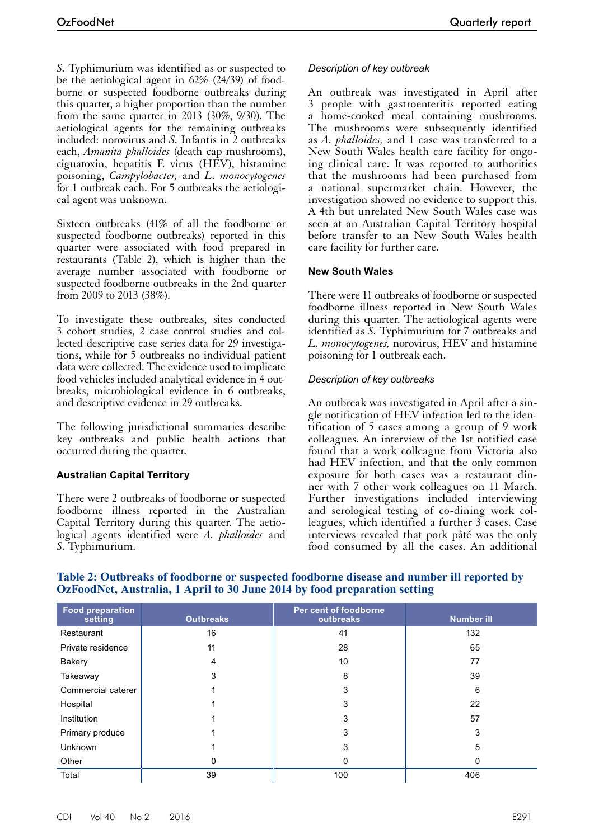*S.* Typhimurium was identified as or suspected to be the aetiological agent in 62% (24/39) of foodborne or suspected foodborne outbreaks during this quarter, a higher proportion than the number from the same quarter in 2013 (30%, 9/30). The aetiological agents for the remaining outbreaks included: norovirus and *S.* Infantis in 2 outbreaks each, *Amanita phalloides* (death cap mushrooms), ciguatoxin, hepatitis E virus (HEV), histamine poisoning, *Campylobacter,* and *L. monocytogenes* for 1 outbreak each. For 5 outbreaks the aetiological agent was unknown.

Sixteen outbreaks (41% of all the foodborne or suspected foodborne outbreaks) reported in this quarter were associated with food prepared in restaurants (Table 2), which is higher than the average number associated with foodborne or suspected foodborne outbreaks in the 2nd quarter from 2009 to 2013 (38%).

To investigate these outbreaks, sites conducted 3 cohort studies, 2 case control studies and collected descriptive case series data for 29 investigations, while for 5 outbreaks no individual patient data were collected. The evidence used to implicate food vehicles included analytical evidence in 4 outbreaks, microbiological evidence in 6 outbreaks, and descriptive evidence in 29 outbreaks.

The following jurisdictional summaries describe key outbreaks and public health actions that occurred during the quarter.

#### **Australian Capital Territory**

There were 2 outbreaks of foodborne or suspected foodborne illness reported in the Australian Capital Territory during this quarter. The aetio- logical agents identified were *A. phalloides* and *S.* Typhimurium.

## *Description of key outbreak*

An outbreak was investigated in April after 3 people with gastroenteritis reported eating a home-cooked meal containing mushrooms. The mushrooms were subsequently identified as *A. phalloides,* and 1 case was transferred to a New South Wales health care facility for ongoing clinical care. It was reported to authorities that the mushrooms had been purchased from a national supermarket chain. However, the investigation showed no evidence to support this. A 4th but unrelated New South Wales case was seen at an Australian Capital Territory hospital before transfer to an New South Wales health care facility for further care.

#### **New South Wales**

There were 11 outbreaks of foodborne or suspected foodborne illness reported in New South Wales during this quarter. The aetiological agents were identified as *S.* Typhimurium for 7 outbreaks and *L. monocytogenes,* norovirus, HEV and histamine poisoning for 1 outbreak each.

#### *Description of key outbreaks*

An outbreak was investigated in April after a single notification of HEV infection led to the identification of 5 cases among a group of 9 work colleagues. An interview of the 1st notified case found that a work colleague from Victoria also had HEV infection, and that the only common exposure for both cases was a restaurant din- ner with 7 other work colleagues on 11 March. Further investigations included interviewing and serological testing of co-dining work col- leagues, which identified a further 3 cases. Case interviews revealed that pork pâté was the only food consumed by all the cases. An additional

| <b>Food preparation</b><br>setting | <b>Outbreaks</b> | Per cent of foodborne<br>outbreaks | <b>Number ill</b> |
|------------------------------------|------------------|------------------------------------|-------------------|
| Restaurant                         | 16               | 41                                 | 132               |
| Private residence                  | 11               | 28                                 | 65                |
| <b>Bakery</b>                      | 4                | 10                                 | 77                |
| Takeaway                           | 3                | 8                                  | 39                |
| Commercial caterer                 |                  | 3                                  | 6                 |
| Hospital                           |                  | 3                                  | 22                |
| Institution                        |                  | 3                                  | 57                |
| Primary produce                    |                  | 3                                  | 3                 |
| <b>Unknown</b>                     |                  | 3                                  | 5                 |
| Other                              |                  |                                    |                   |
| Total                              | 39               | 100                                | 406               |

#### **Table 2: Outbreaks of foodborne or suspected foodborne disease and number ill reported by OzFoodNet, Australia, 1 April to 30 June 2014 by food preparation setting**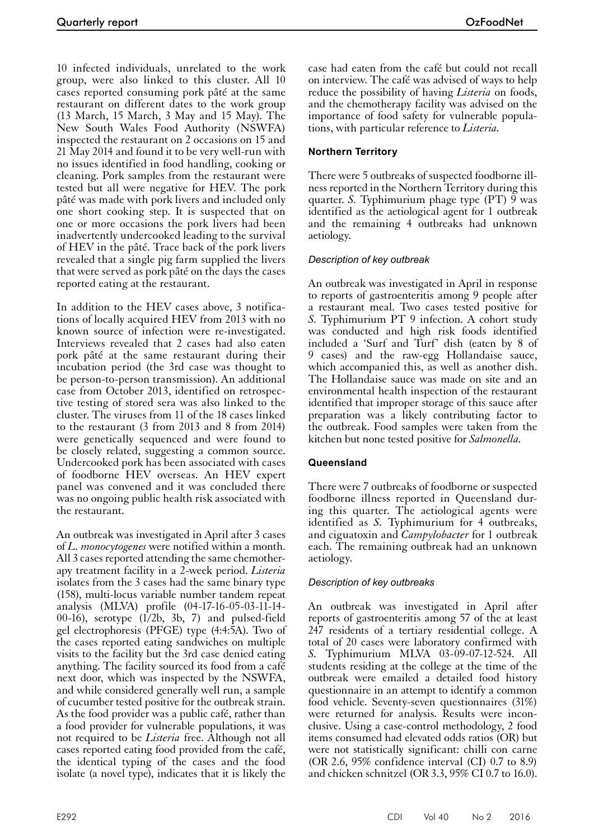10 infected individuals, unrelated to the work group, were also linked to this cluster. All 10 cases reported consuming pork pâté at the same restaurant on different dates to the work group (13 March, 15 March, 3 May and 15 May). The New South Wales Food Authority (NSWFA) inspected the restaurant on 2 occasions on 15 and 21 May 2014 and found it to be very well-run with no issues identified in food handling, cooking or cleaning. Pork samples from the restaurant were tested but all were negative for HEV. The pork pâté was made with pork livers and included only one short cooking step. It is suspected that on one or more occasions the pork livers had been inadvertently undercooked leading to the survival of HEV in the pâté. Trace back of the pork livers revealed that a single pig farm supplied the livers that were served as pork pâté on the days the cases reported eating at the restaurant.

In addition to the HEV cases above, 3 notifications of locally acquired HEV from 2013 with no known source of infection were re-investigated. Interviews revealed that 2 cases had also eaten pork pâté at the same restaurant during their incubation period (the 3rd case was thought to be person-to-person transmission). An additional case from October 2013, identified on retrospective testing of stored sera was also linked to the cluster. The viruses from 11 of the 18 cases linked to the restaurant (3 from 2013 and 8 from 2014) were genetically sequenced and were found to be closely related, suggesting a common source. Undercooked pork has been associated with cases of foodborne HEV overseas. An HEV expert panel was convened and it was concluded there was no ongoing public health risk associated with the restaurant.

An outbreak was investigated in April after 3 cases of *L. monocytogenes* were notified within a month. All 3 cases reported attending the same chemother- apy treatment facility in a 2-week period. *Listeria* isolates from the 3 cases had the same binary type (158), multi-locus variable number tandem repeat analysis (MLVA) profile (04-17-16-05-03-11-14- 00-16), serotype  $(1/2b, 3b, 7)$  and pulsed-field gel electrophoresis (PFGE) type (4:4:5A). Two of the cases reported eating sandwiches on multiple visits to the facility but the 3rd case denied eating anything. The facility sourced its food from a café next door, which was inspected by the NSWFA, and while considered generally well run, a sample of cucumber tested positive for the outbreak strain. As the food provider was a public café, rather than a food provider for vulnerable populations, it was not required to be *Listeria* free. Although not all cases reported eating food provided from the café, the identical typing of the cases and the food isolate (a novel type), indicates that it is likely the case had eaten from the café but could not recall on interview. The café was advised of ways to help reduce the possibility of having *Listeria* on foods, and the chemotherapy facility was advised on the importance of food safety for vulnerable populations, with particular reference to *Listeria.*

#### **Northern Territory**

There were 5 outbreaks of suspected foodborne illness reported in the Northern Territory during this quarter. *S.* Typhimurium phage type (PT) 9 was identified as the aetiological agent for 1 outbreak and the remaining 4 outbreaks had unknown aetiology.

#### *Description of key outbreak*

An outbreak was investigated in April in response to reports of gastroenteritis among 9 people after a restaurant meal. Two cases tested positive for *S.* Typhimurium PT 9 infection. A cohort study was conducted and high risk foods identified included a 'Surf and Turf' dish (eaten by 8 of 9 cases) and the raw-egg Hollandaise sauce, which accompanied this, as well as another dish. The Hollandaise sauce was made on site and an environmental health inspection of the restaurant identified that improper storage of this sauce after preparation was a likely contributing factor to the outbreak. Food samples were taken from the kitchen but none tested positive for *Salmonella.*

#### **Queensland**

There were 7 outbreaks of foodborne or suspected foodborne illness reported in Queensland during this quarter. The aetiological agents were identified as *S.* Typhimurium for 4 outbreaks, and ciguatoxin and *Campylobacter* for 1 outbreak each. The remaining outbreak had an unknown aetiology.

#### *Description of key outbreaks*

An outbreak was investigated in April after reports of gastroenteritis among 57 of the at least 247 residents of a tertiary residential college. A total of 20 cases were laboratory confirmed with *S.* Typhimurium MLVA 03-09-07-12-524. All students residing at the college at the time of the outbreak were emailed a detailed food history questionnaire in an attempt to identify a common food vehicle. Seventy-seven questionnaires (31%) were returned for analysis. Results were inconclusive. Using a case-control methodology, 2 food items consumed had elevated odds ratios (OR) but were not statistically significant: chilli con carne (OR 2.6, 95% confidence interval (CI) 0.7 to 8.9) and chicken schnitzel (OR 3.3, 95% CI 0.7 to 16.0).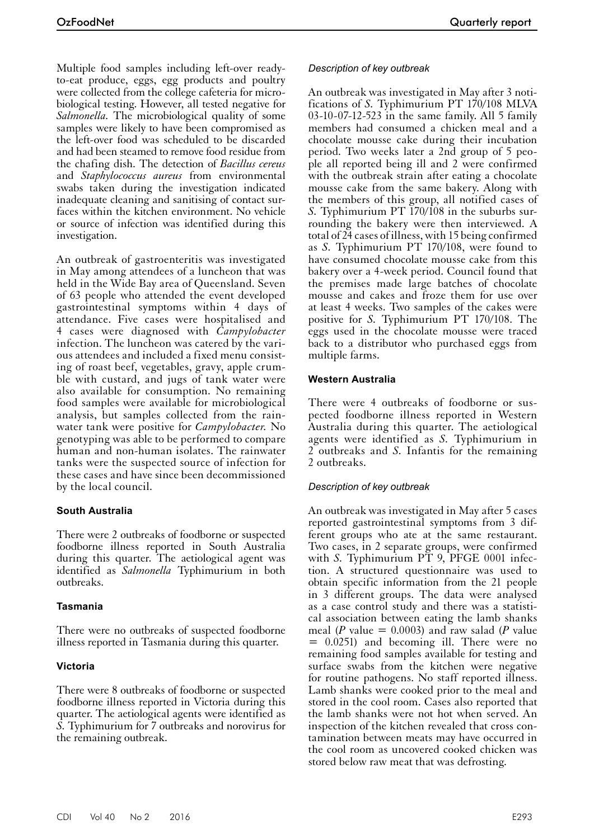Multiple food samples including left-over readyto-eat produce, eggs, egg products and poultry were collected from the college cafeteria for microbiological testing. However, all tested negative for *Salmonella.* The microbiological quality of some samples were likely to have been compromised as the left-over food was scheduled to be discarded and had been steamed to remove food residue from the chafing dish. The detection of *Bacillus cereus* and *Staphylococcus aureus* from environmental swabs taken during the investigation indicated inadequate cleaning and sanitising of contact surfaces within the kitchen environment. No vehicle or source of infection was identified during this investigation.

An outbreak of gastroenteritis was investigated in May among attendees of a luncheon that was held in the Wide Bay area of Queensland. Seven of 63 people who attended the event developed gastrointestinal symptoms within 4 days of attendance. Five cases were hospitalised and 4 cases were diagnosed with *Campylobacter* infection. The luncheon was catered by the various attendees and included a fixed menu consisting of roast beef, vegetables, gravy, apple crumble with custard, and jugs of tank water were also available for consumption. No remaining food samples were available for microbiological analysis, but samples collected from the rainwater tank were positive for *Campylobacter.* No genotyping was able to be performed to compare human and non-human isolates. The rainwater tanks were the suspected source of infection for these cases and have since been decommissioned by the local council.

#### **South Australia**

There were 2 outbreaks of foodborne or suspected foodborne illness reported in South Australia during this quarter. The aetiological agent was identified as *Salmonella* Typhimurium in both outbreaks.

# **Tasmania**

There were no outbreaks of suspected foodborne illness reported in Tasmania during this quarter.

# **Victoria**

There were 8 outbreaks of foodborne or suspected foodborne illness reported in Victoria during this quarter. The aetiological agents were identified as *S.* Typhimurium for 7 outbreaks and norovirus for the remaining outbreak.

#### *Description of key outbreak*

An outbreak was investigated in May after 3 notifications of *S.* Typhimurium PT 170/108 MLVA 03-10-07-12-523 in the same family. All 5 family members had consumed a chicken meal and a chocolate mousse cake during their incubation period. Two weeks later a 2nd group of 5 people all reported being ill and 2 were confirmed with the outbreak strain after eating a chocolate mousse cake from the same bakery. Along with the members of this group, all notified cases of *S.* Typhimurium PT 170/108 in the suburbs surrounding the bakery were then interviewed. A total of 24 cases of illness, with 15 being confirmed as *S.* Typhimurium PT 170/108, were found to have consumed chocolate mousse cake from this bakery over a 4-week period. Council found that the premises made large batches of chocolate mousse and cakes and froze them for use over at least 4 weeks. Two samples of the cakes were positive for *S.* Typhimurium PT 170/108. The eggs used in the chocolate mousse were traced back to a distributor who purchased eggs from multiple farms.

#### **Western Australia**

There were 4 outbreaks of foodborne or suspected foodborne illness reported in Western Australia during this quarter. The aetiological agents were identified as *S.* Typhimurium in 2 outbreaks and *S.* Infantis for the remaining 2 outbreaks.

#### *Description of key outbreak*

An outbreak was investigated in May after 5 cases reported gastrointestinal symptoms from 3 dif- ferent groups who ate at the same restaurant. Two cases, in 2 separate groups, were confirmed with *S*. Typhimurium PT 9, PFGE 0001 infection. A structured questionnaire was used to obtain specific information from the 21 people in 3 different groups. The data were analysed as a case control study and there was a statistical association between eating the lamb shanks meal (*P* value = 0.0003) and raw salad (*P* value = 0.0251) and becoming ill. There were no remaining food samples available for testing and surface swabs from the kitchen were negative for routine pathogens. No staff reported illness. Lamb shanks were cooked prior to the meal and stored in the cool room. Cases also reported that the lamb shanks were not hot when served. An inspection of the kitchen revealed that cross contamination between meats may have occurred in the cool room as uncovered cooked chicken was stored below raw meat that was defrosting.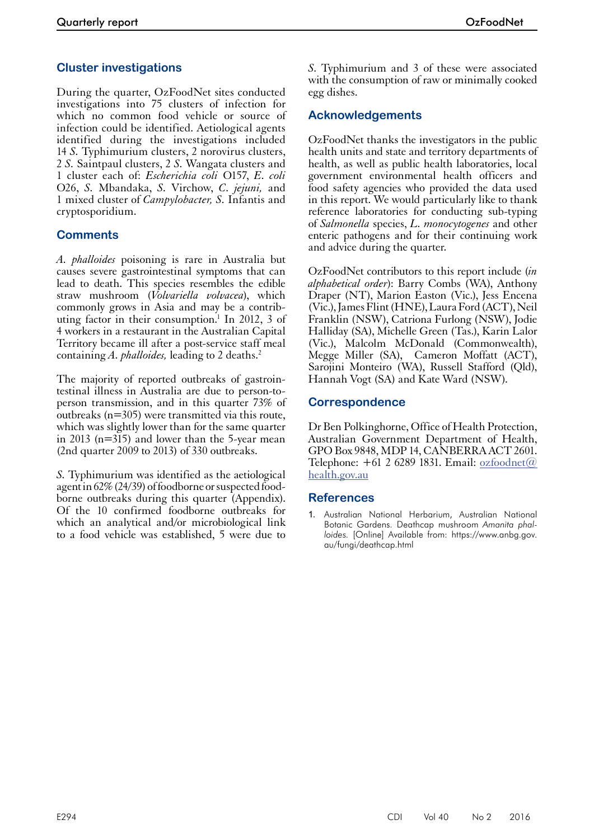# **Cluster investigations**

During the quarter, OzFoodNet sites conducted investigations into 75 clusters of infection for which no common food vehicle or source of infection could be identified. Aetiological agents identified during the investigations included 14 *S.* Typhimurium clusters, 2 norovirus clusters, 2 *S.* Saintpaul clusters, 2 *S.* Wangata clusters and 1 cluster each of: *Escherichia coli* O157, *E. coli* O26, *S.* Mbandaka, *S.* Virchow, *C. jejuni,* and 1 mixed cluster of *Campylobacter, S.* Infantis and cryptosporidium.

# **Comments**

*A. phalloides* poisoning is rare in Australia but causes severe gastrointestinal symptoms that can lead to death. This species resembles the edible straw mushroom (*Volvariella volvacea*), which commonly grows in Asia and may be a contributing factor in their consumption.<sup>1</sup> In 2012, 3 of 4 workers in a restaurant in the Australian Capital Territory became ill after a post-service staff meal containing *A. phalloides,* leading to 2 deaths.2

The majority of reported outbreaks of gastrointestinal illness in Australia are due to person-toperson transmission, and in this quarter 73% of outbreaks (n=305) were transmitted via this route, which was slightly lower than for the same quarter in 2013 (n=315) and lower than the 5-year mean (2nd quarter 2009 to 2013) of 330 outbreaks.

*S.* Typhimurium was identified as the aetiological agent in 62% (24/39) of foodborne or suspected food-<br>borne outbreaks during this quarter (Appendix). Of the 10 confirmed foodborne outbreaks for which an analytical and/or microbiological link to a food vehicle was established, 5 were due to

*S*. Typhimurium and 3 of these were associated with the consumption of raw or minimally cooked egg dishes.

# **Acknowledgements**

OzFoodNet thanks the investigators in the public health units and state and territory departments of health, as well as public health laboratories, local government environmental health officers and food safety agencies who provided the data used in this report. We would particularly like to thank reference laboratories for conducting sub-typing of *Salmonella* species, *L. monocytogenes* and other enteric pathogens and for their continuing work and advice during the quarter.

OzFoodNet contributors to this report include (*in alphabetical order*): Barry Combs (WA), Anthony Draper (NT), Marion Easton (Vic.), Jess Encena (Vic.), James Flint (HNE), Laura Ford (ACT), Neil Franklin (NSW), Catriona Furlong (NSW), Jodie Halliday (SA), Michelle Green (Tas.), Karin Lalor (Vic.), Malcolm McDonald (Commonwealth), Megge Miller (SA), Cameron Moffatt (ACT), Sarojini Monteiro (WA), Russell Stafford (Qld), Hannah Vogt (SA) and Kate Ward (NSW).

### **Correspondence**

Dr Ben Polkinghorne, Office of Health Protection, Australian Government Department of Health, GPO Box 9848, MDP 14, CANBERRA ACT 2601. Telephone:  $+61$  2 6289 1831. Email: [ozfoodnet@](mailto:ozfoodnet@health.gov.au) [health.gov.au](mailto:ozfoodnet@health.gov.au)

# **References**

1. Australian National Herbarium, Australian National Botanic Gardens. Deathcap mushroom *Amanita phalloides.* [Online] Available from: https://www.anbg.gov. au/fungi/deathcap.html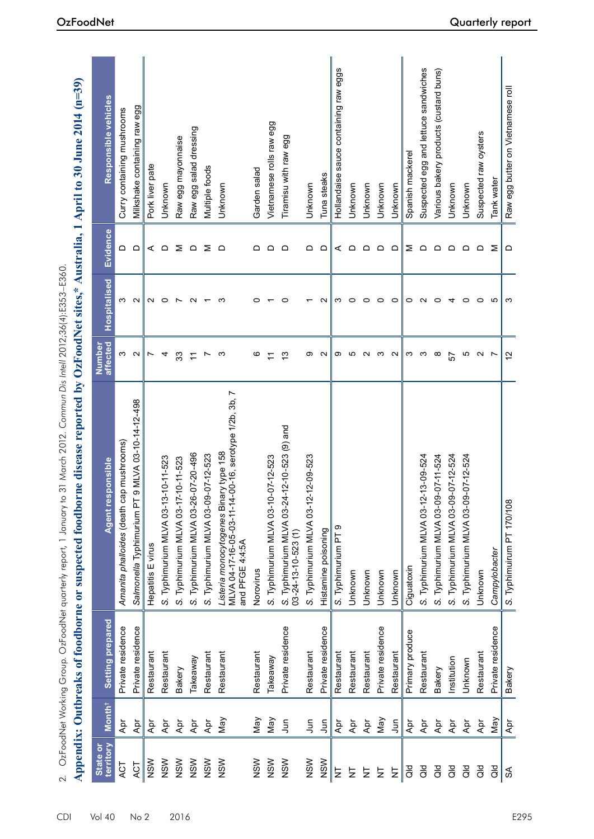|                       |                    |                   | 2. OzFoodNet Working Group. OzFoodNet report, 1 January teport, 1 March 2012. Commun Dis Intell 2012;36(4):E333–E360<br>Appendix: Outbreaks of foodborne or suspected foodborne disease reported by OzFoodNet sites,* |                    |                |          | Australia, 1 April to 30 June 2014 (n=39) |
|-----------------------|--------------------|-------------------|-----------------------------------------------------------------------------------------------------------------------------------------------------------------------------------------------------------------------|--------------------|----------------|----------|-------------------------------------------|
| territory<br>State or | Month <sup>†</sup> | Setting prepared  | <b>Agent responsible</b>                                                                                                                                                                                              | Number<br>affected | Hospitalised   | Evidence | Responsible vehicles                      |
| ACT                   | Ąpr                | Private residence | Amanita phalloides (death cap mushrooms)                                                                                                                                                                              | ω                  | ო              | ≏        | Curry containing mushrooms                |
| ACT                   | Apr                | Private residence | 9 MLVA 03-10-14-12-498<br>Salmonella Typhimurium P <sup>-</sup>                                                                                                                                                       | $\sim$             | $\sim$         | $\Omega$ | Milkshake containing raw egg              |
| NSW                   | Āpr                | Restaurant        | Hepatitis E virus                                                                                                                                                                                                     | $\overline{ }$     | $\sim$         | ⋖        | Pork liver pate                           |
| NSW                   | $\overline{A}$ pr  | Restaurant        | S. Typhimurium MLVA 03-13-10-11-523                                                                                                                                                                                   | 4                  | $\circ$        | $\Omega$ | Unknown                                   |
| NSW                   | Apr                | Bakery            | S. Typhimurium MLVA 03-17-10-11-523                                                                                                                                                                                   | 33                 | $\overline{ }$ | Σ        | Raw egg mayonnaise                        |
| NSW                   | Apr                | Takeaway          | S. Typhimurium MLVA 03-26-07-20-496                                                                                                                                                                                   | $\overline{1}$     | $\sim$         | $\Omega$ | Raw egg salad dressing                    |
| NSW                   | Apr                | Restaurant        | S. Typhimurium MLVA 03-09-07-12-523                                                                                                                                                                                   | $\overline{ }$     |                | Σ        | Multiple foods                            |
| NSW                   | May                | Restaurant        | -00-16, serotype 1/2b, 3b, 7<br>Listeria monocytogenes Binary type 158<br>MLVA 04-17-16-05-03-11-14<br>and PFGE 4:4:5A                                                                                                | က                  | ო              | $\Omega$ | Unknown                                   |
| NSW                   | Nay                | Restaurant        | Norovirus                                                                                                                                                                                                             | ဖ                  | 0              | ≏        | Garden salad                              |
| NSW                   | May                | Takeaway          | S. Typhimurium MLVA 03-10-07-12-523                                                                                                                                                                                   | Ξ                  |                | $\Omega$ | Vietnamese rolls raw egg                  |
| NSW                   | $\bar{5}$          | Private residence | S. Typhimurium MLVA 03-24-12-10-523 (9) and<br>$03 - 24 - 13 - 10 - 523$ (1)                                                                                                                                          | $\frac{3}{2}$      | 0              | $\Omega$ | Tiramisu with raw egg                     |
| NSW                   | 5                  | Restaurant        | S. Typhimurium MLVA 03-12-12-09-523                                                                                                                                                                                   | တ                  |                | ≏        | Unknown                                   |
| NSW                   | Jun                | Private residence | Histamine poisoning                                                                                                                                                                                                   | $\sim$             | $\sim$         | $\Omega$ | Tuna steaks                               |
| $\overline{z}$        | Apr                | Restaurant        | S. Typhimurium PT 9                                                                                                                                                                                                   | တ                  | က              | ⋖        | Hollandaise sauce containing raw eggs     |
| 눙                     | Apr                | Restaurant        | Unknown                                                                                                                                                                                                               | Ю                  | $\circ$        | ≏        | Unknown                                   |
| 능                     | Apr                | Restaurant        | Unknown                                                                                                                                                                                                               | $\mathbf{\Omega}$  | 0              | $\Omega$ | Unknown                                   |
| $\overline{z}$        | Nay                | Private residence | Unknown                                                                                                                                                                                                               | က                  | 0              | $\Omega$ | Unknown                                   |
| 보                     | 5                  | Restaurant        | Unknown                                                                                                                                                                                                               | $\sim$             | $\circ$        | $\Omega$ | Unknown                                   |
| $\overline{a}$        | Apr                | Primary produce   | Ciguatoxin                                                                                                                                                                                                            | က                  | 0              | Σ        | Spanish mackerel                          |
| $\overline{a}$        | Apr                | Restaurant        | S. Typhimurium MLVA 03-12-13-09-524                                                                                                                                                                                   | က                  | $\sim$         | $\Omega$ | Suspected egg and lettuce sandwiches      |
| $\overline{a}$        | Apr                | Bakery            | S. Typhimurium MLVA 03-09-07-11-524                                                                                                                                                                                   | $\infty$           | $\circ$        | $\Omega$ | Various bakery products (custard buns)    |
| $\overline{a}$        | Apr                | Institution       | S. Typhimurium MLVA 03-09-07-12-524                                                                                                                                                                                   | 57                 | 4              | $\Omega$ | Unknown                                   |
| $\overline{a}$        | Apr                | Unknown           | S. Typhimurium MLVA 03-09-07-12-524                                                                                                                                                                                   | ю                  | $\circ$        | $\Box$   | Unknown                                   |
| as<br>o               | Apr                | Restaurant        | Unknown                                                                                                                                                                                                               | $\sim$             | $\circ$        | $\Omega$ | Suspected raw oysters                     |
| $\overline{a}$        | Nay                | Private residence | Campylobacter                                                                                                                                                                                                         | $\overline{ }$     | S              | Σ        | Tank water                                |
| $\mathfrak{F}$        | Āpr                | Bakery            | S. Typhimuirum PT 170/108                                                                                                                                                                                             | $\tilde{c}$        | S              | ≏        | Raw egg butter on Vietnamese roll         |